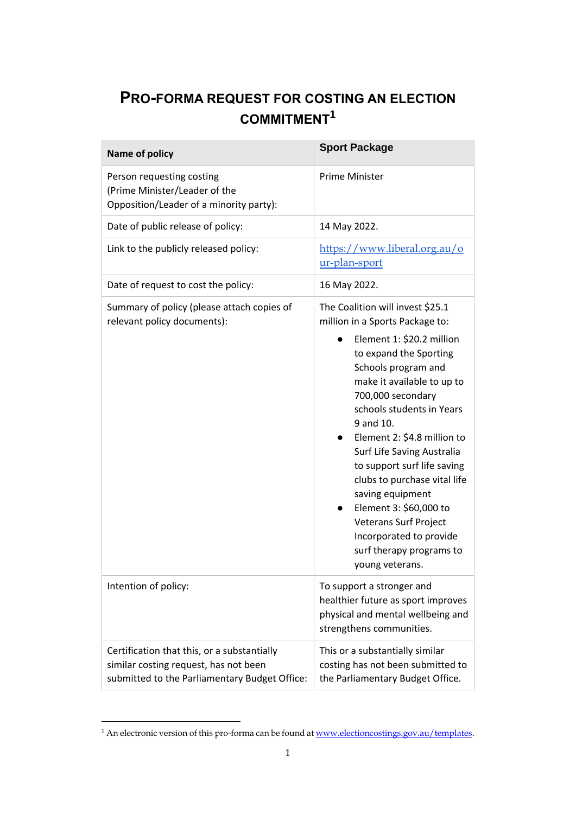## **PRO-FORMA REQUEST FOR COSTING AN ELECTION COMMITMENT<sup>1</sup>**

| Name of policy                                                                                                                        | <b>Sport Package</b>                                                                                                                                                                                                                                                                                                                                                                                                                                                                                                        |
|---------------------------------------------------------------------------------------------------------------------------------------|-----------------------------------------------------------------------------------------------------------------------------------------------------------------------------------------------------------------------------------------------------------------------------------------------------------------------------------------------------------------------------------------------------------------------------------------------------------------------------------------------------------------------------|
| Person requesting costing<br>(Prime Minister/Leader of the<br>Opposition/Leader of a minority party):                                 | <b>Prime Minister</b>                                                                                                                                                                                                                                                                                                                                                                                                                                                                                                       |
| Date of public release of policy:                                                                                                     | 14 May 2022.                                                                                                                                                                                                                                                                                                                                                                                                                                                                                                                |
| Link to the publicly released policy:                                                                                                 | https://www.liberal.org.au/o<br>ur-plan-sport                                                                                                                                                                                                                                                                                                                                                                                                                                                                               |
| Date of request to cost the policy:                                                                                                   | 16 May 2022.                                                                                                                                                                                                                                                                                                                                                                                                                                                                                                                |
| Summary of policy (please attach copies of<br>relevant policy documents):                                                             | The Coalition will invest \$25.1<br>million in a Sports Package to:<br>Element 1: \$20.2 million<br>to expand the Sporting<br>Schools program and<br>make it available to up to<br>700,000 secondary<br>schools students in Years<br>9 and 10.<br>Element 2: \$4.8 million to<br>Surf Life Saving Australia<br>to support surf life saving<br>clubs to purchase vital life<br>saving equipment<br>Element 3: \$60,000 to<br>Veterans Surf Project<br>Incorporated to provide<br>surf therapy programs to<br>young veterans. |
| Intention of policy:                                                                                                                  | To support a stronger and<br>healthier future as sport improves<br>physical and mental wellbeing and<br>strengthens communities.                                                                                                                                                                                                                                                                                                                                                                                            |
| Certification that this, or a substantially<br>similar costing request, has not been<br>submitted to the Parliamentary Budget Office: | This or a substantially similar<br>costing has not been submitted to<br>the Parliamentary Budget Office.                                                                                                                                                                                                                                                                                                                                                                                                                    |

<sup>&</sup>lt;sup>1</sup> An electronic version of this pro-forma can be found at <u>www.electioncostings.gov.au/templates</u>.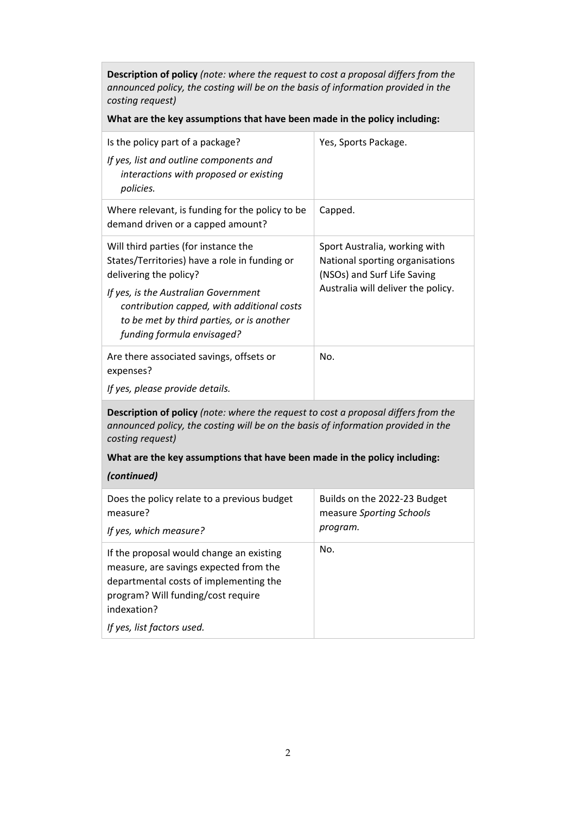**Description of policy** *(note: where the request to cost a proposal differs from the announced policy, the costing will be on the basis of information provided in the costing request)*

## **What are the key assumptions that have been made in the policy including:**

| Is the policy part of a package?<br>If yes, list and outline components and<br>interactions with proposed or existing<br>policies.                                                                                                                                               | Yes, Sports Package.                                                                                                                  |  |
|----------------------------------------------------------------------------------------------------------------------------------------------------------------------------------------------------------------------------------------------------------------------------------|---------------------------------------------------------------------------------------------------------------------------------------|--|
| Where relevant, is funding for the policy to be<br>demand driven or a capped amount?                                                                                                                                                                                             | Capped.                                                                                                                               |  |
| Will third parties (for instance the<br>States/Territories) have a role in funding or<br>delivering the policy?<br>If yes, is the Australian Government<br>contribution capped, with additional costs<br>to be met by third parties, or is another<br>funding formula envisaged? | Sport Australia, working with<br>National sporting organisations<br>(NSOs) and Surf Life Saving<br>Australia will deliver the policy. |  |
| Are there associated savings, offsets or<br>expenses?<br>If yes, please provide details.                                                                                                                                                                                         | No.                                                                                                                                   |  |
| <b>Description of policy</b> (note: where the request to cost a proposal differs from the                                                                                                                                                                                        |                                                                                                                                       |  |

**Description of policy** *(note: where the request to cost a proposal differs from the announced policy, the costing will be on the basis of information provided in the costing request)* 

## **What are the key assumptions that have been made in the policy including:**

## *(continued)*

| Does the policy relate to a previous budget<br>measure?<br>If yes, which measure?                                                                                                 | Builds on the 2022-23 Budget<br>measure Sporting Schools<br>program. |
|-----------------------------------------------------------------------------------------------------------------------------------------------------------------------------------|----------------------------------------------------------------------|
| If the proposal would change an existing<br>measure, are savings expected from the<br>departmental costs of implementing the<br>program? Will funding/cost require<br>indexation? | No.                                                                  |
| If yes, list factors used.                                                                                                                                                        |                                                                      |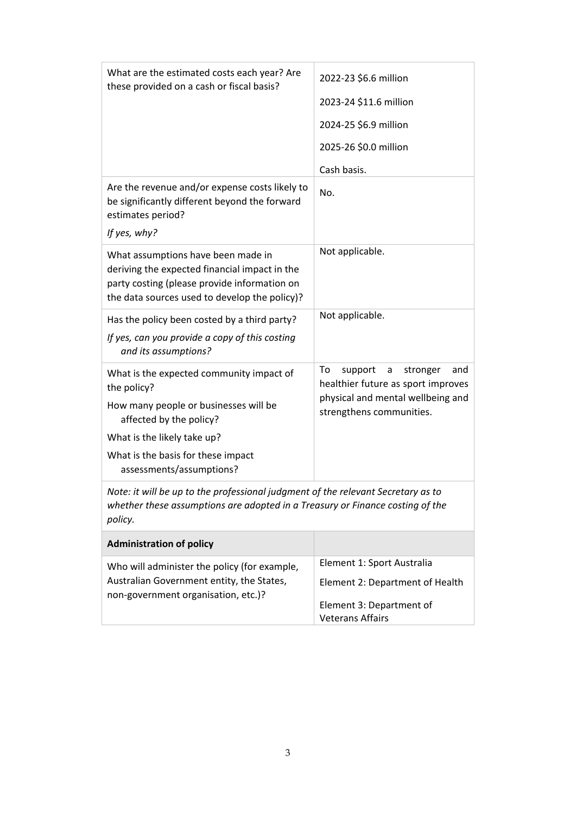| What are the estimated costs each year? Are<br>these provided on a cash or fiscal basis?                                                                                             | 2022-23 \$6.6 million                                                       |
|--------------------------------------------------------------------------------------------------------------------------------------------------------------------------------------|-----------------------------------------------------------------------------|
|                                                                                                                                                                                      | 2023-24 \$11.6 million                                                      |
|                                                                                                                                                                                      | 2024-25 \$6.9 million                                                       |
|                                                                                                                                                                                      | 2025-26 \$0.0 million                                                       |
|                                                                                                                                                                                      | Cash basis.                                                                 |
| Are the revenue and/or expense costs likely to<br>be significantly different beyond the forward<br>estimates period?                                                                 | No.                                                                         |
| If yes, why?                                                                                                                                                                         |                                                                             |
| What assumptions have been made in<br>deriving the expected financial impact in the<br>party costing (please provide information on<br>the data sources used to develop the policy)? | Not applicable.                                                             |
| Has the policy been costed by a third party?                                                                                                                                         | Not applicable.                                                             |
| If yes, can you provide a copy of this costing<br>and its assumptions?                                                                                                               |                                                                             |
| What is the expected community impact of<br>the policy?                                                                                                                              | To<br>support<br>stronger<br>a<br>and<br>healthier future as sport improves |
| How many people or businesses will be<br>affected by the policy?                                                                                                                     | physical and mental wellbeing and<br>strengthens communities.               |
| What is the likely take up?                                                                                                                                                          |                                                                             |
| What is the basis for these impact<br>assessments/assumptions?                                                                                                                       |                                                                             |
| Note: it will be up to the professional judgment of the relevant Secretary as to<br>whether these assumptions are adopted in a Treasury or Finance costing of the<br>policy.         |                                                                             |
| <b>Administration of policy</b>                                                                                                                                                      |                                                                             |
| Who will administer the policy (for example,<br>Australian Government entity, the States,<br>non-government organisation, etc.)?                                                     | Element 1: Sport Australia                                                  |
|                                                                                                                                                                                      | Element 2: Department of Health                                             |
|                                                                                                                                                                                      | Element 3: Department of<br><b>Veterans Affairs</b>                         |